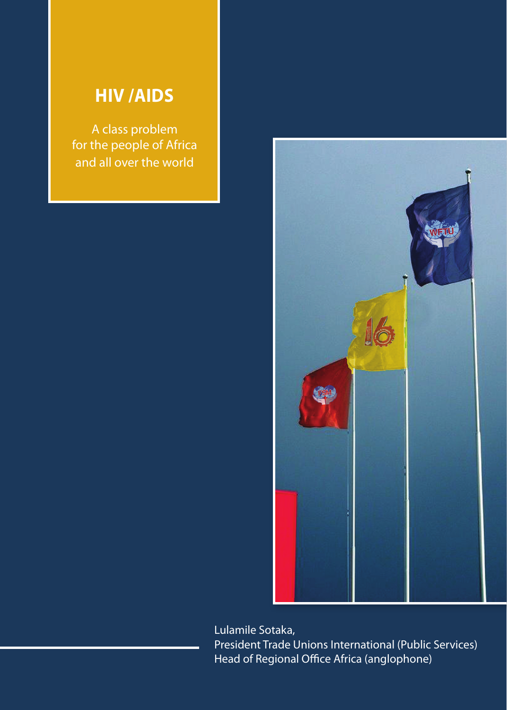## **HIV /AIDS**

A class problem for the people of Africa and all over the world



Lulamile Sotaka, President Trade Unions International (Public Services) Head of Regional Office Africa (anglophone)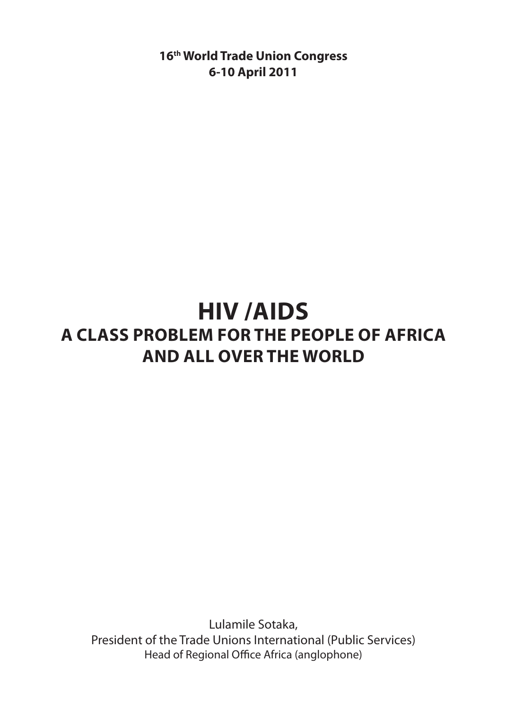**16th World Trade Union Congress 6-10 April 2011**

# **HIV /AIDS A class problem for the people of Africa and all over the world**

Lulamile Sotaka, President of the Trade Unions International (Public Services) Head of Regional Office Africa (anglophone)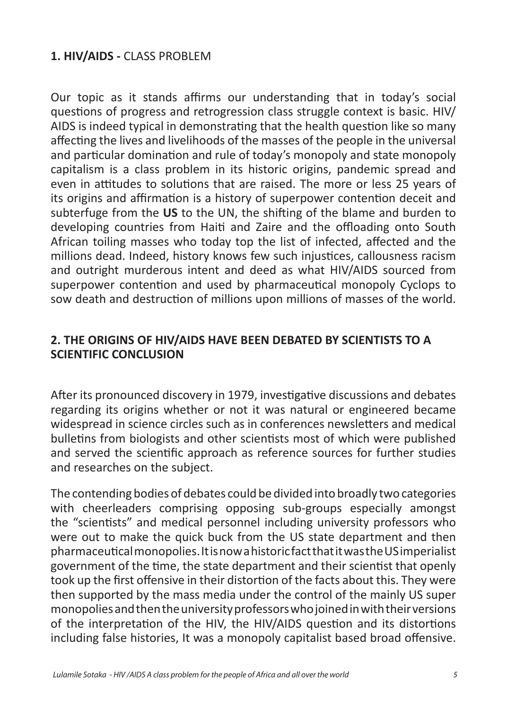#### **1. HIV/AIDS -** CLASS PROBLEM

Our topic as it stands affirms our understanding that in today's social questions of progress and retrogression class struggle context is basic. HIV/ AIDS is indeed typical in demonstrating that the health question like so many affecting the lives and livelihoods of the masses of the people in the universal and particular domination and rule of today's monopoly and state monopoly capitalism is a class problem in its historic origins, pandemic spread and even in attitudes to solutions that are raised. The more or less 25 years of its origins and affirmation is a history of superpower contention deceit and subterfuge from the **US** to the UN, the shifting of the blame and burden to developing countries from Haiti and Zaire and the offloading onto South African toiling masses who today top the list of infected, affected and the millions dead. Indeed, history knows few such injustices, callousness racism and outright murderous intent and deed as what HIV/AIDS sourced from superpower contention and used by pharmaceutical monopoly Cyclops to sow death and destruction of millions upon millions of masses of the world.

#### **2. THE ORIGINS OF HIV/AIDS HAVE BEEN DEBATED BY SCIENTISTS TO A SCIENTIFIC CONCLUSION**

After its pronounced discovery in 1979, investigative discussions and debates regarding its origins whether or not it was natural or engineered became widespread in science circles such as in conferences newsletters and medical bulletins from biologists and other scientists most of which were published and served the scientific approach as reference sources for further studies and researches on the subject.

The contending bodies of debates could be divided into broadly two categories with cheerleaders comprising opposing sub-groups especially amongst the "scientists" and medical personnel including university professors who were out to make the quick buck from the US state department and then pharmaceutical monopolies. It is now a historic fact that it was the US imperialist government of the time, the state department and their scientist that openly took up the first offensive in their distortion of the facts about this. They were then supported by the mass media under the control of the mainly US super monopolies and then the university professors who joined in with their versions of the interpretation of the HIV, the HIV/AIDS question and its distortions including false histories, It was a monopoly capitalist based broad offensive.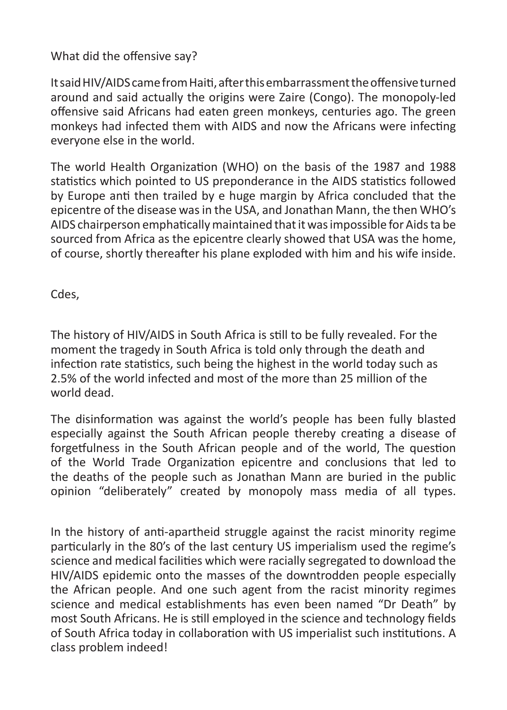#### What did the offensive say?

It said HIV/AIDS came from Haiti, after this embarrassment the offensive turned around and said actually the origins were Zaire (Congo). The monopoly-led offensive said Africans had eaten green monkeys, centuries ago. The green monkeys had infected them with AIDS and now the Africans were infecting everyone else in the world.

The world Health Organization (WHO) on the basis of the 1987 and 1988 statistics which pointed to US preponderance in the AIDS statistics followed by Europe anti then trailed by e huge margin by Africa concluded that the epicentre of the disease was in the USA, and Jonathan Mann, the then WHO's AIDS chairperson emphatically maintained that it was impossible for Aids ta be sourced from Africa as the epicentre clearly showed that USA was the home, of course, shortly thereafter his plane exploded with him and his wife inside.

Cdes,

The history of HIV/AIDS in South Africa is still to be fully revealed. For the moment the tragedy in South Africa is told only through the death and infection rate statistics, such being the highest in the world today such as 2.5% of the world infected and most of the more than 25 million of the world dead.

The disinformation was against the world's people has been fully blasted especially against the South African people thereby creating a disease of forgetfulness in the South African people and of the world, The question of the World Trade Organization epicentre and conclusions that led to the deaths of the people such as Jonathan Mann are buried in the public opinion "deliberately" created by monopoly mass media of all types.

In the history of anti-apartheid struggle against the racist minority regime particularly in the 80's of the last century US imperialism used the regime's science and medical facilities which were racially segregated to download the HIV/AIDS epidemic onto the masses of the downtrodden people especially the African people. And one such agent from the racist minority regimes science and medical establishments has even been named "Dr Death" by most South Africans. He is still employed in the science and technology fields of South Africa today in collaboration with US imperialist such institutions. A class problem indeed!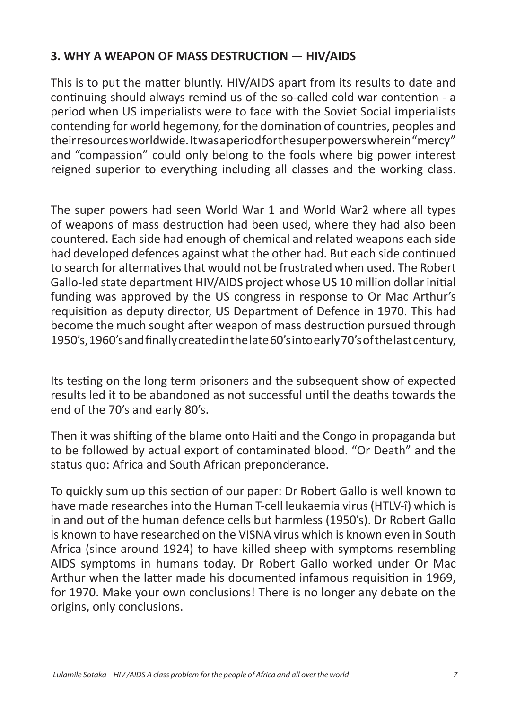### **3. WHY A WEAPON OF MASS DESTRUCTION** — **HIV/AIDS**

This is to put the matter bluntly. HIV/AIDS apart from its results to date and continuing should always remind us of the so-called cold war contention - a period when US imperialists were to face with the Soviet Social imperialists contending for world hegemony, for the domination of countries, peoples and their resources worldwide. It was a period for the super powers wherein "mercy" and "compassion" could only belong to the fools where big power interest reigned superior to everything including all classes and the working class.

The super powers had seen World War 1 and World War2 where all types of weapons of mass destruction had been used, where they had also been countered. Each side had enough of chemical and related weapons each side had developed defences against what the other had. But each side continued to search for alternatives that would not be frustrated when used. The Robert Gallo-led state department HIV/AIDS project whose US 10 million dollar initial funding was approved by the US congress in response to Or Mac Arthur's requisition as deputy director, US Department of Defence in 1970. This had become the much sought after weapon of mass destruction pursued through 1950's, 1960's and finally created in the late 60's into early 70's of the last century,

Its testing on the long term prisoners and the subsequent show of expected results led it to be abandoned as not successful until the deaths towards the end of the 70's and early 80's.

Then it was shifting of the blame onto Haiti and the Congo in propaganda but to be followed by actual export of contaminated blood. "Or Death" and the status quo: Africa and South African preponderance.

To quickly sum up this section of our paper: Dr Robert Gallo is well known to have made researches into the Human T-cell leukaemia virus (HTLV-î) which is in and out of the human defence cells but harmless (1950's). Dr Robert Gallo is known to have researched on the VISNA virus which is known even in South Africa (since around 1924) to have killed sheep with symptoms resembling AIDS symptoms in humans today. Dr Robert Gallo worked under Or Mac Arthur when the latter made his documented infamous requisition in 1969, for 1970. Make your own conclusions! There is no longer any debate on the origins, only conclusions.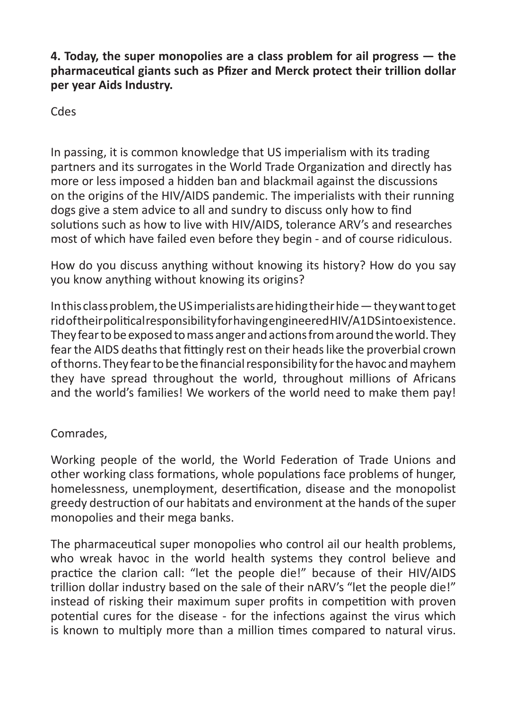**4. Today, the super monopolies are a class problem for ail progress — the pharmaceutical giants such as Pfizer and Merck protect their trillion dollar per year Aids Industry.** 

Cdes

In passing, it is common knowledge that US imperialism with its trading partners and its surrogates in the World Trade Organization and directly has more or less imposed a hidden ban and blackmail against the discussions on the origins of the HIV/AIDS pandemic. The imperialists with their running dogs give a stem advice to all and sundry to discuss only how to find solutions such as how to live with HIV/AIDS, tolerance ARV's and researches most of which have failed even before they begin - and of course ridiculous.

How do you discuss anything without knowing its history? How do you say you know anything without knowing its origins?

In this class problem, the US imperialists are hiding their hide — they want to get rid of their political responsibility for having engineered HIV/A1DS into existence. They fear to be exposed to mass anger and actions from around the world. They fear the AIDS deaths that fittingly rest on their heads like the proverbial crown of thorns. They fear to be the financial responsibility for the havoc and mayhem they have spread throughout the world, throughout millions of Africans and the world's families! We workers of the world need to make them pay!

### Comrades,

Working people of the world, the World Federation of Trade Unions and other working class formations, whole populations face problems of hunger, homelessness, unemployment, desertification, disease and the monopolist greedy destruction of our habitats and environment at the hands of the super monopolies and their mega banks.

The pharmaceutical super monopolies who control ail our health problems, who wreak havoc in the world health systems they control believe and practice the clarion call: "let the people die!" because of their HIV/AIDS trillion dollar industry based on the sale of their nARV's "let the people die!" instead of risking their maximum super profits in competition with proven potential cures for the disease - for the infections against the virus which is known to multiply more than a million times compared to natural virus.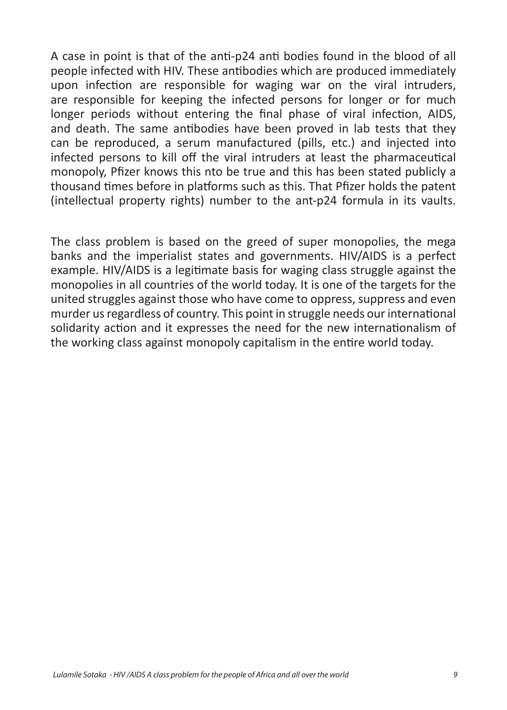A case in point is that of the anti-p24 anti bodies found in the blood of all people infected with HIV. These antibodies which are produced immediately upon infection are responsible for waging war on the viral intruders, are responsible for keeping the infected persons for longer or for much longer periods without entering the final phase of viral infection, AIDS, and death. The same antibodies have been proved in lab tests that they can be reproduced, a serum manufactured (pills, etc.) and injected into infected persons to kill off the viral intruders at least the pharmaceutical monopoly, Pfizer knows this nto be true and this has been stated publicly a thousand times before in platforms such as this. That Pfizer holds the patent (intellectual property rights) number to the ant-p24 formula in its vaults.

The class problem is based on the greed of super monopolies, the mega banks and the imperialist states and governments. HIV/AIDS is a perfect example. HIV/AIDS is a legitimate basis for waging class struggle against the monopolies in all countries of the world today. It is one of the targets for the united struggles against those who have come to oppress, suppress and even murder us regardless of country. This point in struggle needs our international solidarity action and it expresses the need for the new internationalism of the working class against monopoly capitalism in the entire world today.